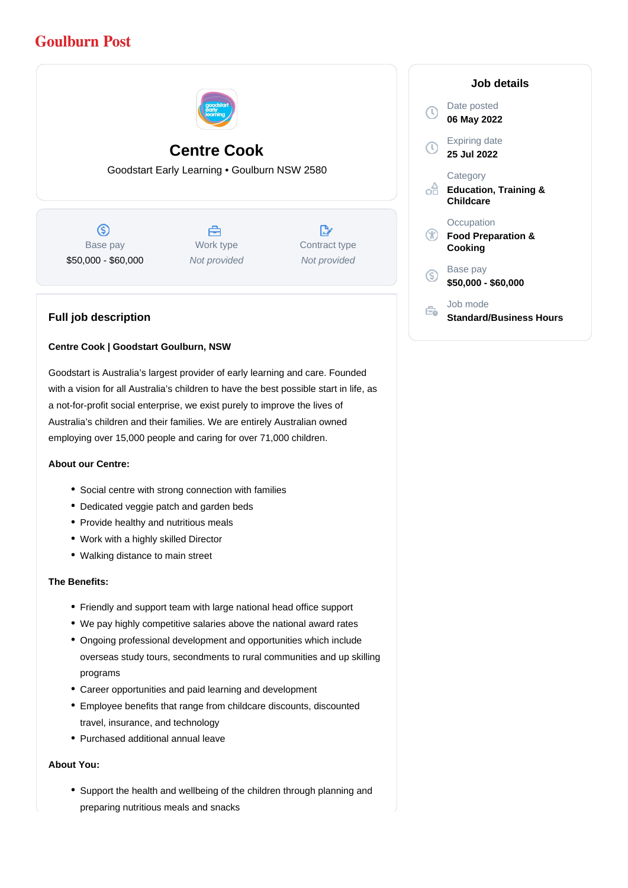# **Goulburn Post**



## **Centre Cook**

Goodstart Early Learning • Goulburn NSW 2580

 $\circledS$ Base pay \$50,000 - \$60,000

A Work type Not provided

 $\mathbb{R}^{\cdot}$ Contract type Not provided

### **Full job description**

#### **Centre Cook | Goodstart Goulburn, NSW**

Goodstart is Australia's largest provider of early learning and care. Founded with a vision for all Australia's children to have the best possible start in life, as a not-for-profit social enterprise, we exist purely to improve the lives of Australia's children and their families. We are entirely Australian owned employing over 15,000 people and caring for over 71,000 children.

#### **About our Centre:**

- Social centre with strong connection with families
- Dedicated veggie patch and garden beds
- Provide healthy and nutritious meals
- Work with a highly skilled Director
- Walking distance to main street

#### **The Benefits:**

- Friendly and support team with large national head office support
- We pay highly competitive salaries above the national award rates
- Ongoing professional development and opportunities which include overseas study tours, secondments to rural communities and up skilling programs
- Career opportunities and paid learning and development
- Employee benefits that range from childcare discounts, discounted travel, insurance, and technology
- Purchased additional annual leave

#### **About You:**

Support the health and wellbeing of the children through planning and preparing nutritious meals and snacks

|    | Job details                                               |
|----|-----------------------------------------------------------|
|    | Date posted<br>06 May 2022                                |
| τ  | Expiring date<br>25 Jul 2022                              |
|    | Category<br><b>Education, Training &amp;</b><br>Childcare |
|    | Occupation<br><b>Food Preparation &amp;</b><br>Cooking    |
| `S | Base pay<br>\$50,000 - \$60,000                           |
|    | Job mode<br><b>Standard/Business Hours</b>                |